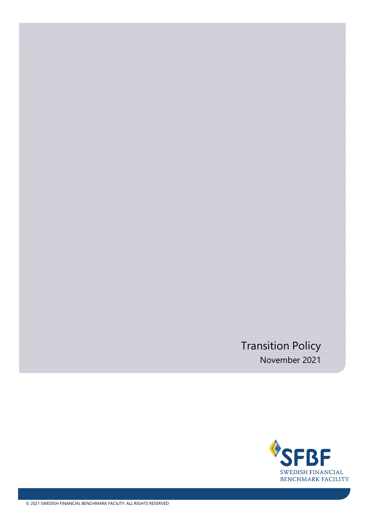# Transition Policy November 2021

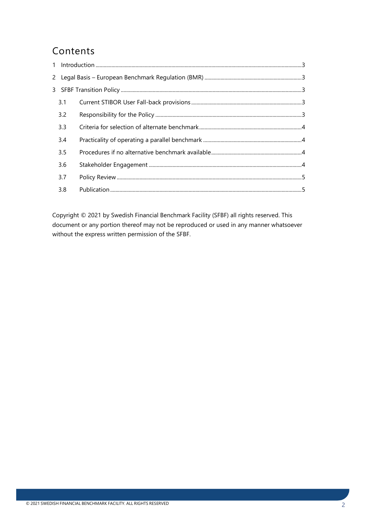## Contents

| 3.1 |  |
|-----|--|
| 3.2 |  |
| 3.3 |  |
| 3.4 |  |
| 3.5 |  |
| 3.6 |  |
| 3.7 |  |
| 3.8 |  |

Copyright © 2021 by Swedish Financial Benchmark Facility (SFBF) all rights reserved. This document or any portion thereof may not be reproduced or used in any manner whatsoever without the express written permission of the SFBF.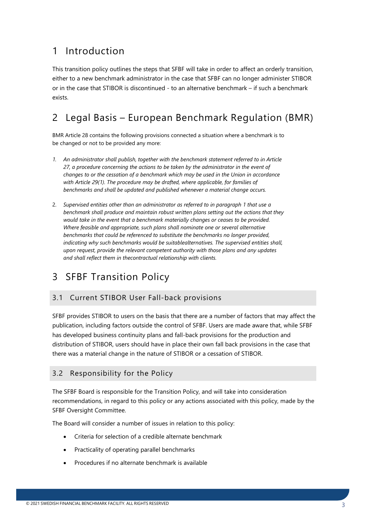### <span id="page-2-0"></span>1 Introduction

This transition policy outlines the steps that SFBF will take in order to affect an orderly transition, either to a new benchmark administrator in the case that SFBF can no longer administer STIBOR or in the case that STIBOR is discontinued - to an alternative benchmark – if such a benchmark exists.

### <span id="page-2-1"></span>2 Legal Basis – European Benchmark Regulation (BMR)

BMR Article 28 contains the following provisions connected a situation where a benchmark is to be changed or not to be provided any more:

- *1. An administrator shall publish, together with the benchmark statement referred to in Article 27, a procedure concerning the actions to be taken by the administrator in the event of changes to or the cessation of a benchmark which may be used in the Union in accordance with Article 29(1). The procedure may be drafted, where applicable, for families of benchmarks and shall be updated and published whenever a material change occurs.*
- 2. *Supervised entities other than an administrator as referred to in paragraph 1 that use a benchmark shall produce and maintain robust written plans setting out the actions that they would take in the event that a benchmark materially changes or ceases to be provided. Where feasible and appropriate, such plans shall nominate one or several alternative benchmarks that could be referenced to substitute the benchmarks no longer provided, indicating why such benchmarks would be suitablealternatives. The supervised entities shall, upon request, provide the relevant competent authority with those plans and any updates and shall reflect them in thecontractual relationship with clients.*

### <span id="page-2-2"></span>3 SFBF Transition Policy

#### <span id="page-2-3"></span>3.1 Current STIBOR User Fall-back provisions

SFBF provides STIBOR to users on the basis that there are a number of factors that may affect the publication, including factors outside the control of SFBF. Users are made aware that, while SFBF has developed business continuity plans and fall-back provisions for the production and distribution of STIBOR, users should have in place their own fall back provisions in the case that there was a material change in the nature of STIBOR or a cessation of STIBOR.

#### <span id="page-2-4"></span>3.2 Responsibility for the Policy

The SFBF Board is responsible for the Transition Policy, and will take into consideration recommendations, in regard to this policy or any actions associated with this policy, made by the SFBF Oversight Committee.

The Board will consider a number of issues in relation to this policy:

- Criteria for selection of a credible alternate benchmark
- Practicality of operating parallel benchmarks
- Procedures if no alternate benchmark is available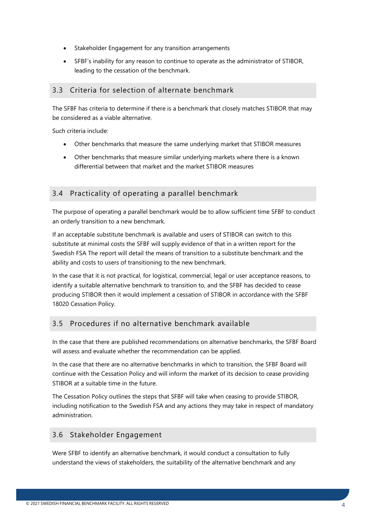- Stakeholder Engagement for any transition arrangements
- SFBF's inability for any reason to continue to operate as the administrator of STIBOR, leading to the cessation of the benchmark.

#### <span id="page-3-0"></span>3.3 Criteria for selection of alternate benchmark

The SFBF has criteria to determine if there is a benchmark that closely matches STIBOR that may be considered as a viable alternative.

Such criteria include:

- Other benchmarks that measure the same underlying market that STIBOR measures
- Other benchmarks that measure similar underlying markets where there is a known differential between that market and the market STIBOR measures

#### <span id="page-3-1"></span>3.4 Practicality of operating a parallel benchmark

The purpose of operating a parallel benchmark would be to allow sufficient time SFBF to conduct an orderly transition to a new benchmark.

If an acceptable substitute benchmark is available and users of STIBOR can switch to this substitute at minimal costs the SFBF will supply evidence of that in a written report for the Swedish FSA The report will detail the means of transition to a substitute benchmark and the ability and costs to users of transitioning to the new benchmark.

In the case that it is not practical, for logistical, commercial, legal or user acceptance reasons, to identify a suitable alternative benchmark to transition to, and the SFBF has decided to cease producing STIBOR then it would implement a cessation of STIBOR in accordance with the SFBF 18020 Cessation Policy.

#### <span id="page-3-2"></span>3.5 Procedures if no alternative benchmark available

In the case that there are published recommendations on alternative benchmarks, the SFBF Board will assess and evaluate whether the recommendation can be applied.

In the case that there are no alternative benchmarks in which to transition, the SFBF Board will continue with the Cessation Policy and will inform the market of its decision to cease providing STIBOR at a suitable time in the future.

The Cessation Policy outlines the steps that SFBF will take when ceasing to provide STIBOR, including notification to the Swedish FSA and any actions they may take in respect of mandatory administration.

#### <span id="page-3-3"></span>3.6 Stakeholder Engagement

Were SFBF to identify an alternative benchmark, it would conduct a consultation to fully understand the views of stakeholders, the suitability of the alternative benchmark and any